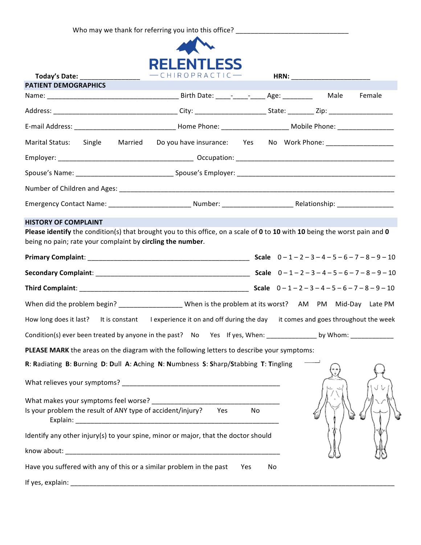Who may we thank for referring you into this office? \_\_\_\_\_\_\_\_\_\_\_\_\_\_\_\_\_\_\_\_\_\_\_\_\_\_\_\_



| Today's Date: ______                                                                                                       | $-CHIROPRACTIC$ $-$                                            |           |        |
|----------------------------------------------------------------------------------------------------------------------------|----------------------------------------------------------------|-----------|--------|
| <b>PATIENT DEMOGRAPHICS</b>                                                                                                |                                                                |           |        |
|                                                                                                                            |                                                                |           | Female |
|                                                                                                                            |                                                                |           |        |
|                                                                                                                            |                                                                |           |        |
| Marital Status: Single<br>Married                                                                                          | Do you have insurance: Yes No Work Phone: ____________________ |           |        |
|                                                                                                                            |                                                                |           |        |
|                                                                                                                            |                                                                |           |        |
|                                                                                                                            |                                                                |           |        |
|                                                                                                                            |                                                                |           |        |
| <b>HISTORY OF COMPLAINT</b>                                                                                                |                                                                |           |        |
| Please identify the condition(s) that brought you to this office, on a scale of 0 to 10 with 10 being the worst pain and 0 |                                                                |           |        |
| being no pain; rate your complaint by circling the number.                                                                 |                                                                |           |        |
|                                                                                                                            |                                                                |           |        |
|                                                                                                                            |                                                                |           |        |
|                                                                                                                            |                                                                |           |        |
| When did the problem begin? ____________________When is the problem at its worst? AM PM Mid-Day Late PM                    |                                                                |           |        |
| How long does it last? It is constant I experience it on and off during the day it comes and goes throughout the week      |                                                                |           |        |
|                                                                                                                            |                                                                |           |        |
| PLEASE MARK the areas on the diagram with the following letters to describe your symptoms:                                 |                                                                |           |        |
| R: Radiating B: Burning D: Dull A: Aching N: Numbness S: Sharp/Stabbing T: Tingling                                        |                                                                |           |        |
|                                                                                                                            |                                                                |           |        |
|                                                                                                                            |                                                                |           |        |
| Is your problem the result of ANY type of accident/injury?                                                                 | Yes                                                            | No        |        |
| Identify any other injury(s) to your spine, minor or major, that the doctor should                                         |                                                                |           |        |
|                                                                                                                            |                                                                |           |        |
| Have you suffered with any of this or a similar problem in the past                                                        |                                                                | Yes<br>No |        |
|                                                                                                                            |                                                                |           |        |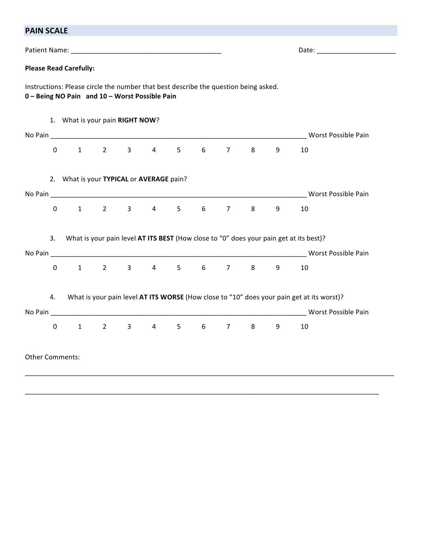| <b>PAIN SCALE</b>             |       |
|-------------------------------|-------|
| Patient Name:                 | Date: |
| <b>Please Read Carefully:</b> |       |

Instructions: Please circle the number that best describe the question being asked. **0 – Being NO Pain and 10 – Worst Possible Pain**

|             |                        |                        |            | 1. What is your pain RIGHT NOW?                                    |             |                |                |         |   |                                                                                           |
|-------------|------------------------|------------------------|------------|--------------------------------------------------------------------|-------------|----------------|----------------|---------|---|-------------------------------------------------------------------------------------------|
|             |                        |                        |            |                                                                    |             |                |                |         |   | Worst Possible Pain                                                                       |
| $\mathbf 0$ |                        | $1 \quad 2 \quad$      |            | $3 \t 4$                                                           | $5^{\circ}$ | $6 \quad \Box$ | $\overline{7}$ | $8 - 8$ | 9 | 10                                                                                        |
|             |                        |                        |            | 2. What is your TYPICAL or AVERAGE pain?                           |             |                |                |         |   |                                                                                           |
|             |                        |                        |            |                                                                    |             |                |                |         |   | Worst Possible Pain                                                                       |
| $\mathbf 0$ |                        |                        |            | $1 \qquad 2 \qquad 3 \qquad 4 \qquad 5$                            |             | $6 \qquad$     | $7^{\circ}$    | $8 - 8$ | 9 | 10                                                                                        |
| 3.          |                        |                        |            |                                                                    |             |                |                |         |   | What is your pain level AT ITS BEST (How close to "0" does your pain get at its best)?    |
|             |                        |                        |            |                                                                    |             |                |                |         |   |                                                                                           |
| $\mathbf 0$ |                        |                        |            | $1 \qquad 2 \qquad 3 \qquad 4 \qquad 5 \qquad 6 \qquad 7 \qquad 8$ |             |                |                |         | 9 | 10                                                                                        |
| 4.          |                        |                        |            |                                                                    |             |                |                |         |   | What is your pain level AT ITS WORSE (How close to "10" does your pain get at its worst)? |
|             |                        |                        |            |                                                                    |             |                |                |         |   | Worst Possible Pain                                                                       |
| $\mathbf 0$ |                        | $1 \quad \blacksquare$ | $2^{\sim}$ | $3 \t 4 \t 5 \t 6$                                                 |             |                | $7 \quad$      | $8 -$   | 9 | 10                                                                                        |
|             | <b>Other Comments:</b> |                        |            |                                                                    |             |                |                |         |   |                                                                                           |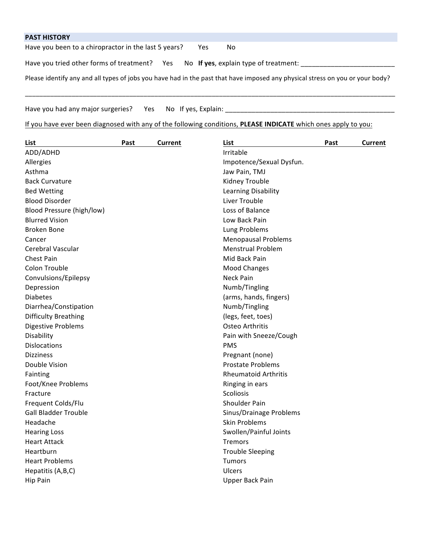| <b>PAST HISTORY</b>                                                                |                                                                                                                               |
|------------------------------------------------------------------------------------|-------------------------------------------------------------------------------------------------------------------------------|
| Have you been to a chiropractor in the last 5 years?                               | Yes<br>No.                                                                                                                    |
| Have you tried other forms of treatment? Yes No If yes, explain type of treatment: |                                                                                                                               |
|                                                                                    | Please identify any and all types of jobs you have had in the past that have imposed any physical stress on you or your body? |

\_\_\_\_\_\_\_\_\_\_\_\_\_\_\_\_\_\_\_\_\_\_\_\_\_\_\_\_\_\_\_\_\_\_\_\_\_\_\_\_\_\_\_\_\_\_\_\_\_\_\_\_\_\_\_\_\_\_\_\_\_\_\_\_\_\_\_\_\_\_\_\_\_\_\_\_\_\_\_\_\_\_\_\_\_\_\_\_\_\_\_\_\_\_\_\_\_\_\_\_\_\_\_

Have you had any major surgeries? Yes No If yes, Explain: \_\_\_\_\_\_\_\_\_\_\_\_\_\_\_\_\_\_\_\_\_\_\_\_\_\_\_\_\_\_\_\_\_\_\_\_\_\_\_\_\_\_\_\_\_

If you have ever been diagnosed with any of the following conditions, PLEASE INDICATE which ones apply to you:

| List                        | Past | <b>Current</b> | List                        | Past | <b>Current</b> |
|-----------------------------|------|----------------|-----------------------------|------|----------------|
| ADD/ADHD                    |      |                | Irritable                   |      |                |
| Allergies                   |      |                | Impotence/Sexual Dysfun.    |      |                |
| Asthma                      |      |                | Jaw Pain, TMJ               |      |                |
| <b>Back Curvature</b>       |      |                | Kidney Trouble              |      |                |
| <b>Bed Wetting</b>          |      |                | Learning Disability         |      |                |
| <b>Blood Disorder</b>       |      |                | Liver Trouble               |      |                |
| Blood Pressure (high/low)   |      |                | Loss of Balance             |      |                |
| <b>Blurred Vision</b>       |      |                | Low Back Pain               |      |                |
| <b>Broken Bone</b>          |      |                | Lung Problems               |      |                |
| Cancer                      |      |                | <b>Menopausal Problems</b>  |      |                |
| Cerebral Vascular           |      |                | <b>Menstrual Problem</b>    |      |                |
| <b>Chest Pain</b>           |      |                | Mid Back Pain               |      |                |
| Colon Trouble               |      |                | <b>Mood Changes</b>         |      |                |
| Convulsions/Epilepsy        |      |                | Neck Pain                   |      |                |
| Depression                  |      |                | Numb/Tingling               |      |                |
| <b>Diabetes</b>             |      |                | (arms, hands, fingers)      |      |                |
| Diarrhea/Constipation       |      |                | Numb/Tingling               |      |                |
| <b>Difficulty Breathing</b> |      |                | (legs, feet, toes)          |      |                |
| Digestive Problems          |      |                | Osteo Arthritis             |      |                |
| Disability                  |      |                | Pain with Sneeze/Cough      |      |                |
| <b>Dislocations</b>         |      |                | <b>PMS</b>                  |      |                |
| <b>Dizziness</b>            |      |                | Pregnant (none)             |      |                |
| Double Vision               |      |                | <b>Prostate Problems</b>    |      |                |
| Fainting                    |      |                | <b>Rheumatoid Arthritis</b> |      |                |
| Foot/Knee Problems          |      |                | Ringing in ears             |      |                |
| Fracture                    |      |                | Scoliosis                   |      |                |
| Frequent Colds/Flu          |      |                | Shoulder Pain               |      |                |
| <b>Gall Bladder Trouble</b> |      |                | Sinus/Drainage Problems     |      |                |
| Headache                    |      |                | <b>Skin Problems</b>        |      |                |
| <b>Hearing Loss</b>         |      |                | Swollen/Painful Joints      |      |                |
| <b>Heart Attack</b>         |      |                | <b>Tremors</b>              |      |                |
| Heartburn                   |      |                | <b>Trouble Sleeping</b>     |      |                |
| <b>Heart Problems</b>       |      |                | <b>Tumors</b>               |      |                |
| Hepatitis (A,B,C)           |      |                | Ulcers                      |      |                |
| Hip Pain                    |      |                | Upper Back Pain             |      |                |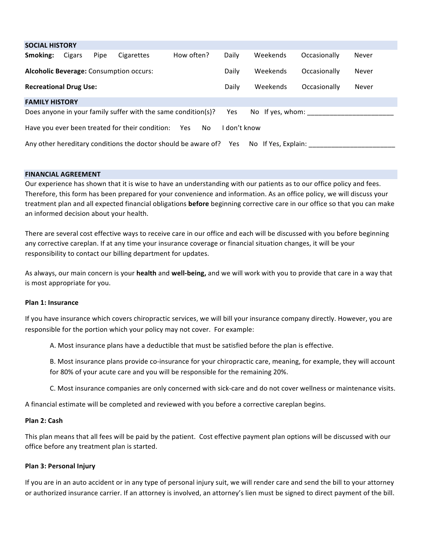| <b>SOCIAL HISTORY</b>                                                                        |        |      |            |            |       |          |              |       |
|----------------------------------------------------------------------------------------------|--------|------|------------|------------|-------|----------|--------------|-------|
| Smoking:                                                                                     | Cigars | Pipe | Cigarettes | How often? | Daily | Weekends | Occasionally | Never |
| Weekends<br><b>Alcoholic Beverage: Consumption occurs:</b><br>Daily<br>Occasionally<br>Never |        |      |            |            |       |          |              |       |
| <b>Recreational Drug Use:</b>                                                                |        |      |            |            | Daily | Weekends | Occasionally | Never |
| <b>FAMILY HISTORY</b>                                                                        |        |      |            |            |       |          |              |       |
| Does anyone in your family suffer with the same condition(s)?<br>No If yes, whom:<br>Yes     |        |      |            |            |       |          |              |       |
| Have you ever been treated for their condition: Yes No<br>don't know                         |        |      |            |            |       |          |              |       |
| Any other hereditary conditions the doctor should be aware of? Yes<br>No If Yes. Explain:    |        |      |            |            |       |          |              |       |

#### **FINANCIAL AGREEMENT**

Our experience has shown that it is wise to have an understanding with our patients as to our office policy and fees. Therefore, this form has been prepared for your convenience and information. As an office policy, we will discuss your treatment plan and all expected financial obligations **before** beginning corrective care in our office so that you can make an informed decision about your health.

There are several cost effective ways to receive care in our office and each will be discussed with you before beginning any corrective careplan. If at any time your insurance coverage or financial situation changes, it will be your responsibility to contact our billing department for updates.

As always, our main concern is your **health** and well-being, and we will work with you to provide that care in a way that is most appropriate for you.

### **Plan 1: Insurance**

If you have insurance which covers chiropractic services, we will bill your insurance company directly. However, you are responsible for the portion which your policy may not cover. For example:

A. Most insurance plans have a deductible that must be satisfied before the plan is effective.

B. Most insurance plans provide co-insurance for your chiropractic care, meaning, for example, they will account for 80% of your acute care and you will be responsible for the remaining 20%.

C. Most insurance companies are only concerned with sick-care and do not cover wellness or maintenance visits.

A financial estimate will be completed and reviewed with you before a corrective careplan begins.

# **Plan 2: Cash**

This plan means that all fees will be paid by the patient. Cost effective payment plan options will be discussed with our office before any treatment plan is started.

### **Plan 3: Personal Injury**

If you are in an auto accident or in any type of personal injury suit, we will render care and send the bill to your attorney or authorized insurance carrier. If an attorney is involved, an attorney's lien must be signed to direct payment of the bill.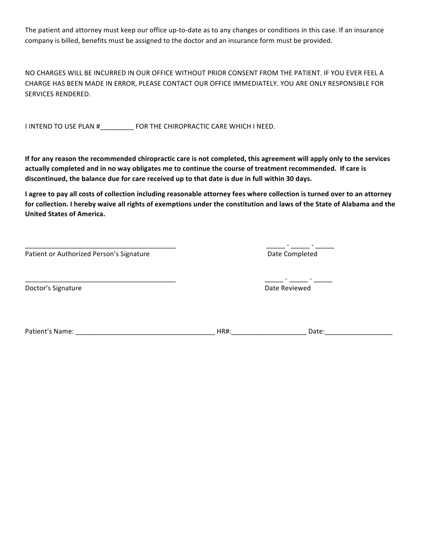The patient and attorney must keep our office up-to-date as to any changes or conditions in this case. If an insurance company is billed, benefits must be assigned to the doctor and an insurance form must be provided.

NO CHARGES WILL BE INCURRED IN OUR OFFICE WITHOUT PRIOR CONSENT FROM THE PATIENT. IF YOU EVER FEEL A CHARGE HAS BEEN MADE IN ERROR, PLEASE CONTACT OUR OFFICE IMMEDIATELY. YOU ARE ONLY RESPONSIBLE FOR SERVICES RENDERED.

I INTEND TO USE PLAN #\_\_\_\_\_\_\_\_\_\_ FOR THE CHIROPRACTIC CARE WHICH I NEED.

If for any reason the recommended chiropractic care is not completed, this agreement will apply only to the services actually completed and in no way obligates me to continue the course of treatment recommended. If care is discontinued, the balance due for care received up to that date is due in full within 30 days.

I agree to pay all costs of collection including reasonable attorney fees where collection is turned over to an attorney for collection. I hereby waive all rights of exemptions under the constitution and laws of the State of Alabama and the **United States of America.**

Patient or Authorized Person's Signature Date Completed

Doctor's Signature and the state of the state of the state of the state of the state of the state of the state of the state of the state of the state of the state of the state of the state of the state of the state of the

\_\_\_\_\_\_\_\_\_\_\_\_\_\_\_\_\_\_\_\_\_\_\_\_\_\_\_\_\_\_\_\_\_\_\_\_\_\_\_\_ \_\_\_\_\_ - \_\_\_\_\_ - \_\_\_\_\_

Patient's Name: \_\_\_\_\_\_\_\_\_\_\_\_\_\_\_\_\_\_\_\_\_\_\_\_\_\_\_\_\_\_\_\_\_\_\_\_\_ HR#:\_\_\_\_\_\_\_\_\_\_\_\_\_\_\_\_\_\_\_\_ Date:\_\_\_\_\_\_\_\_\_\_\_\_\_\_\_\_\_\_

\_\_\_\_\_\_\_\_\_\_\_\_\_\_\_\_\_\_\_\_\_\_\_\_\_\_\_\_\_\_\_\_\_\_\_\_\_\_\_\_ \_\_\_\_\_ - \_\_\_\_\_ - \_\_\_\_\_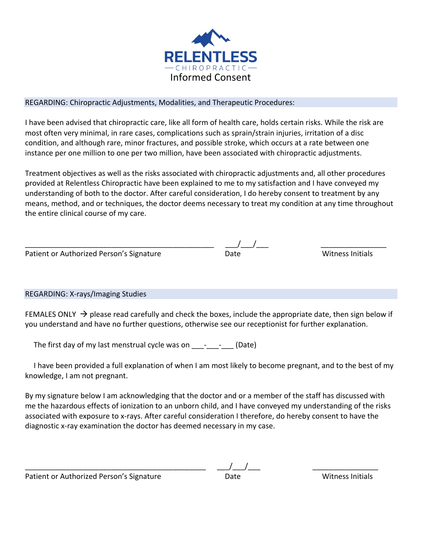

# REGARDING: Chiropractic Adjustments, Modalities, and Therapeutic Procedures:

I have been advised that chiropractic care, like all form of health care, holds certain risks. While the risk are most often very minimal, in rare cases, complications such as sprain/strain injuries, irritation of a disc condition, and although rare, minor fractures, and possible stroke, which occurs at a rate between one instance per one million to one per two million, have been associated with chiropractic adjustments.

Treatment objectives as well as the risks associated with chiropractic adjustments and, all other procedures provided at Relentless Chiropractic have been explained to me to my satisfaction and I have conveyed my understanding of both to the doctor. After careful consideration, I do hereby consent to treatment by any means, method, and or techniques, the doctor deems necessary to treat my condition at any time throughout the entire clinical course of my care.

| Patient or Authorized Person's Signature |  |
|------------------------------------------|--|
|                                          |  |

# $\frac{1}{\text{Date}}$

**Witness Initials** 

REGARDING: X-rays/Imaging Studies

FEMALES ONLY  $\rightarrow$  please read carefully and check the boxes, include the appropriate date, then sign below if you understand and have no further questions, otherwise see our receptionist for further explanation.

The first day of my last menstrual cycle was on  $\qquad \qquad$  (Date)

I have been provided a full explanation of when I am most likely to become pregnant, and to the best of my knowledge, I am not pregnant.

By my signature below I am acknowledging that the doctor and or a member of the staff has discussed with me the hazardous effects of ionization to an unborn child, and I have conveyed my understanding of the risks associated with exposure to x-rays. After careful consideration I therefore, do hereby consent to have the diagnostic x-ray examination the doctor has deemed necessary in my case.

Patient or Authorized Person's Signature **Date** Date **Date** Witness Initials

\_\_\_\_\_\_\_\_\_\_\_\_\_\_\_\_\_\_\_\_\_\_\_\_\_\_\_\_\_\_\_\_\_\_\_\_\_\_\_\_\_\_\_\_ \_\_\_/\_\_\_/\_\_\_ \_\_\_\_\_\_\_\_\_\_\_\_\_\_\_\_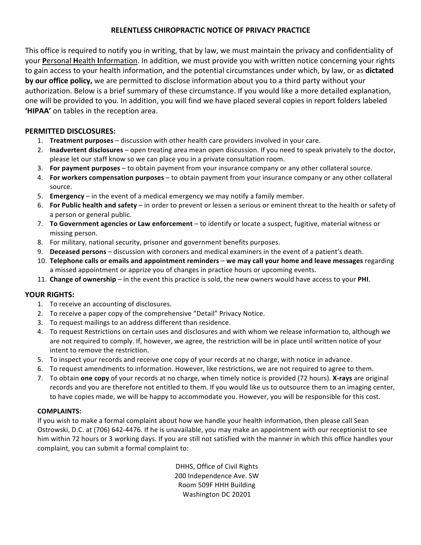# **RELENTLESS CHIROPRACTIC NOTICE OF PRIVACY PRACTICE**

This office is required to notify you in writing, that by law, we must maintain the privacy and confidentiality of your Personal Health Information. In addition, we must provide you with written notice concerning your rights to gain access to your health information, and the potential circumstances under which, by law, or as **dictated by our office policy,** we are permitted to disclose information about you to a third party without your authorization. Below is a brief summary of these circumstance. If you would like a more detailed explanation, one will be provided to you. In addition, you will find we have placed several copies in report folders labeled **'HIPAA'** on tables in the reception area.

# **PERMITTED DISCLOSURES:**

- 1. **Treatment purposes** discussion with other health care providers involved in your care.
- 2. **Inadvertent disclosures** open treating area mean open discussion. If you need to speak privately to the doctor, please let our staff know so we can place you in a private consultation room.
- 3. **For payment purposes** to obtain payment from your insurance company or any other collateral source.
- 4. **For workers compensation purposes** to obtain payment from your insurance company or any other collateral source.
- 5. **Emergency** in the event of a medical emergency we may notify a family member.
- 6. **For Public health and safety** in order to prevent or lessen a serious or eminent threat to the health or safety of a person or general public.
- 7. To Government agencies or Law enforcement to identify or locate a suspect, fugitive, material witness or missing person.
- 8. For military, national security, prisoner and government benefits purposes.
- 9. **Deceased persons** discussion with coroners and medical examiners in the event of a patient's death.
- 10. Telephone calls or emails and appointment reminders we may call your home and leave messages regarding a missed appointment or apprize you of changes in practice hours or upcoming events.
- 11. Change of ownership in the event this practice is sold, the new owners would have access to your PHI.

# YOUR RIGHTS:

- 1. To receive an accounting of disclosures.
- 2. To receive a paper copy of the comprehensive "Detail" Privacy Notice.
- 3. To request mailings to an address different than residence.
- 4. To request Restrictions on certain uses and disclosures and with whom we release information to, although we are not required to comply. If, however, we agree, the restriction will be in place until written notice of your intent to remove the restriction.
- 5. To inspect your records and receive one copy of your records at no charge, with notice in advance.
- 6. To request amendments to information. However, like restrictions, we are not required to agree to them.
- 7. To obtain **one copy** of your records at no charge, when timely notice is provided (72 hours). X-rays are original records and you are therefore not entitled to them. If you would like us to outsource them to an imaging center, to have copies made, we will be happy to accommodate you. However, you will be responsible for this cost.

# **COMPLAINTS:**

If you wish to make a formal complaint about how we handle your health information, then please call Sean Ostrowski, D.C. at (706) 642-4476. If he is unavailable, you may make an appointment with our receptionist to see him within 72 hours or 3 working days. If you are still not satisfied with the manner in which this office handles your complaint, you can submit a formal complaint to:

> DHHS, Office of Civil Rights 200 Independence Ave. SW Room 509F HHH Building Washington DC 20201